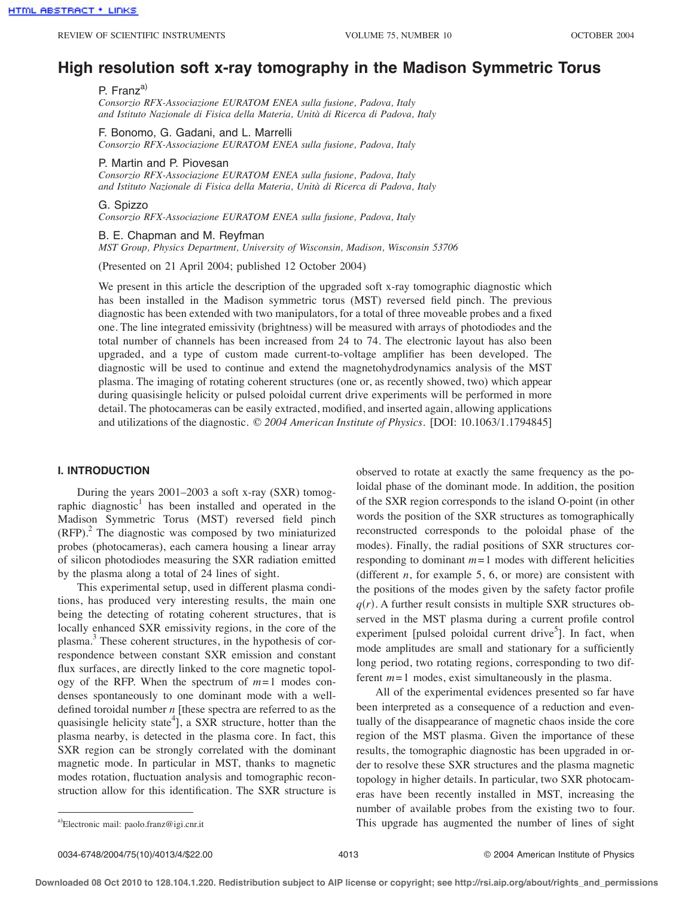# **High resolution soft x-ray tomography in the Madison Symmetric Torus**

P. Franz<sup>a)</sup>

*Consorzio RFX-Associazione EURATOM ENEA sulla fusione, Padova, Italy and Istituto Nazionale di Fisica della Materia, Unità di Ricerca di Padova, Italy*

F. Bonomo, G. Gadani, and L. Marrelli

*Consorzio RFX-Associazione EURATOM ENEA sulla fusione, Padova, Italy*

#### P. Martin and P. Piovesan

*Consorzio RFX-Associazione EURATOM ENEA sulla fusione, Padova, Italy and Istituto Nazionale di Fisica della Materia, Unità di Ricerca di Padova, Italy*

G. Spizzo

*Consorzio RFX-Associazione EURATOM ENEA sulla fusione, Padova, Italy*

## B. E. Chapman and M. Reyfman

*MST Group, Physics Department, University of Wisconsin, Madison, Wisconsin 53706*

(Presented on 21 April 2004; published 12 October 2004)

We present in this article the description of the upgraded soft x-ray tomographic diagnostic which has been installed in the Madison symmetric torus (MST) reversed field pinch. The previous diagnostic has been extended with two manipulators, for a total of three moveable probes and a fixed one. The line integrated emissivity (brightness) will be measured with arrays of photodiodes and the total number of channels has been increased from 24 to 74. The electronic layout has also been upgraded, and a type of custom made current-to-voltage amplifier has been developed. The diagnostic will be used to continue and extend the magnetohydrodynamics analysis of the MST plasma. The imaging of rotating coherent structures (one or, as recently showed, two) which appear during quasisingle helicity or pulsed poloidal current drive experiments will be performed in more detail. The photocameras can be easily extracted, modified, and inserted again, allowing applications and utilizations of the diagnostic. © *2004 American Institute of Physics.* [DOI: 10.1063/1.1794845]

## **I. INTRODUCTION**

During the years 2001–2003 a soft x-ray (SXR) tomographic diagnostic<sup>1</sup> has been installed and operated in the Madison Symmetric Torus (MST) reversed field pinch (RFP). <sup>2</sup> The diagnostic was composed by two miniaturized probes (photocameras), each camera housing a linear array of silicon photodiodes measuring the SXR radiation emitted by the plasma along a total of 24 lines of sight.

This experimental setup, used in different plasma conditions, has produced very interesting results, the main one being the detecting of rotating coherent structures, that is locally enhanced SXR emissivity regions, in the core of the plasma.<sup>3</sup> These coherent structures, in the hypothesis of correspondence between constant SXR emission and constant flux surfaces, are directly linked to the core magnetic topology of the RFP. When the spectrum of  $m=1$  modes condenses spontaneously to one dominant mode with a welldefined toroidal number *n* [these spectra are referred to as the quasisingle helicity state<sup>4</sup>], a SXR structure, hotter than the plasma nearby, is detected in the plasma core. In fact, this SXR region can be strongly correlated with the dominant magnetic mode. In particular in MST, thanks to magnetic modes rotation, fluctuation analysis and tomographic reconstruction allow for this identification. The SXR structure is observed to rotate at exactly the same frequency as the poloidal phase of the dominant mode. In addition, the position of the SXR region corresponds to the island O-point (in other words the position of the SXR structures as tomographically reconstructed corresponds to the poloidal phase of the modes). Finally, the radial positions of SXR structures corresponding to dominant  $m = 1$  modes with different helicities (different  $n$ , for example  $5, 6$ , or more) are consistent with the positions of the modes given by the safety factor profile  $q(r)$ . A further result consists in multiple SXR structures observed in the MST plasma during a current profile control experiment [pulsed poloidal current drive<sup>5</sup>]. In fact, when mode amplitudes are small and stationary for a sufficiently long period, two rotating regions, corresponding to two different  $m=1$  modes, exist simultaneously in the plasma.

All of the experimental evidences presented so far have been interpreted as a consequence of a reduction and eventually of the disappearance of magnetic chaos inside the core region of the MST plasma. Given the importance of these results, the tomographic diagnostic has been upgraded in order to resolve these SXR structures and the plasma magnetic topology in higher details. In particular, two SXR photocameras have been recently installed in MST, increasing the number of available probes from the existing two to four. This upgrade has augmented the number of lines of sight

Electronic mail: paolo.franz@igi.cnr.it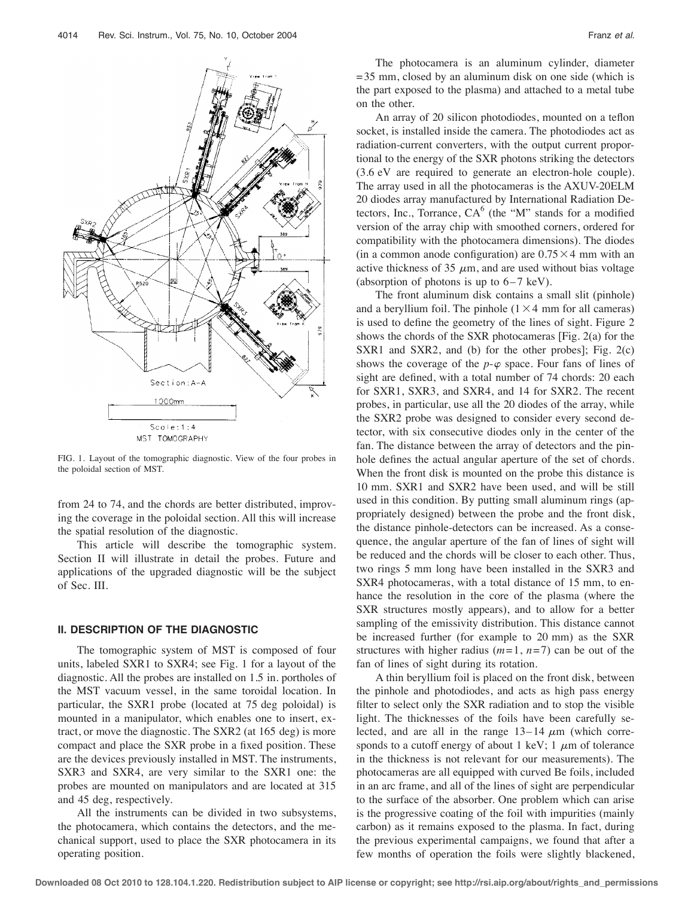

FIG. 1. Layout of the tomographic diagnostic. View of the four probes in the poloidal section of MST.

from 24 to 74, and the chords are better distributed, improving the coverage in the poloidal section. All this will increase the spatial resolution of the diagnostic.

This article will describe the tomographic system. Section II will illustrate in detail the probes. Future and applications of the upgraded diagnostic will be the subject of Sec. III.

### **II. DESCRIPTION OF THE DIAGNOSTIC**

The tomographic system of MST is composed of four units, labeled SXR1 to SXR4; see Fig. 1 for a layout of the diagnostic. All the probes are installed on 1.5 in. portholes of the MST vacuum vessel, in the same toroidal location. In particular, the SXR1 probe (located at 75 deg poloidal) is mounted in a manipulator, which enables one to insert, extract, or move the diagnostic. The SXR2 (at 165 deg) is more compact and place the SXR probe in a fixed position. These are the devices previously installed in MST. The instruments, SXR3 and SXR4, are very similar to the SXR1 one: the probes are mounted on manipulators and are located at 315 and 45 deg, respectively.

All the instruments can be divided in two subsystems, the photocamera, which contains the detectors, and the mechanical support, used to place the SXR photocamera in its operating position.

The photocamera is an aluminum cylinder, diameter  $= 35$  mm, closed by an aluminum disk on one side (which is the part exposed to the plasma) and attached to a metal tube on the other.

An array of 20 silicon photodiodes, mounted on a teflon socket, is installed inside the camera. The photodiodes act as radiation-current converters, with the output current proportional to the energy of the SXR photons striking the detectors (3.6 eV are required to generate an electron-hole couple). The array used in all the photocameras is the AXUV-20ELM 20 diodes array manufactured by International Radiation Detectors, Inc., Torrance,  $CA^6$  (the "M" stands for a modified version of the array chip with smoothed corners, ordered for compatibility with the photocamera dimensions). The diodes (in a common anode configuration) are  $0.75 \times 4$  mm with an active thickness of 35  $\mu$ m, and are used without bias voltage (absorption of photons is up to  $6-7$  keV).

The front aluminum disk contains a small slit (pinhole) and a beryllium foil. The pinhole  $(1 \times 4 \text{ mm}$  for all cameras) is used to define the geometry of the lines of sight. Figure 2 shows the chords of the SXR photocameras [Fig. 2(a) for the SXR1 and SXR2, and (b) for the other probes]; Fig. 2(c) shows the coverage of the  $p-\varphi$  space. Four fans of lines of sight are defined, with a total number of 74 chords: 20 each for SXR1, SXR3, and SXR4, and 14 for SXR2. The recent probes, in particular, use all the 20 diodes of the array, while the SXR2 probe was designed to consider every second detector, with six consecutive diodes only in the center of the fan. The distance between the array of detectors and the pinhole defines the actual angular aperture of the set of chords. When the front disk is mounted on the probe this distance is 10 mm. SXR1 and SXR2 have been used, and will be still used in this condition. By putting small aluminum rings (appropriately designed) between the probe and the front disk, the distance pinhole-detectors can be increased. As a consequence, the angular aperture of the fan of lines of sight will be reduced and the chords will be closer to each other. Thus, two rings 5 mm long have been installed in the SXR3 and SXR4 photocameras, with a total distance of 15 mm, to enhance the resolution in the core of the plasma (where the SXR structures mostly appears), and to allow for a better sampling of the emissivity distribution. This distance cannot be increased further (for example to 20 mm) as the SXR structures with higher radius  $(m=1, n=7)$  can be out of the fan of lines of sight during its rotation.

A thin beryllium foil is placed on the front disk, between the pinhole and photodiodes, and acts as high pass energy filter to select only the SXR radiation and to stop the visible light. The thicknesses of the foils have been carefully selected, and are all in the range  $13-14 \mu m$  (which corresponds to a cutoff energy of about 1 keV; 1  $\mu$ m of tolerance in the thickness is not relevant for our measurements). The photocameras are all equipped with curved Be foils, included in an arc frame, and all of the lines of sight are perpendicular to the surface of the absorber. One problem which can arise is the progressive coating of the foil with impurities (mainly carbon) as it remains exposed to the plasma. In fact, during the previous experimental campaigns, we found that after a few months of operation the foils were slightly blackened,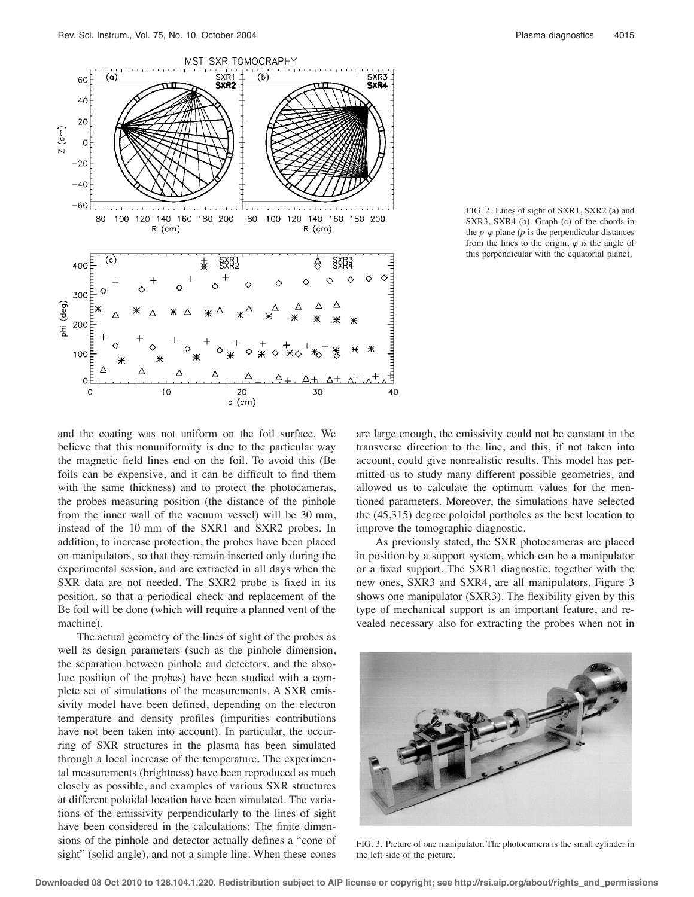

FIG. 2. Lines of sight of SXR1, SXR2 (a) and SXR3, SXR4 (b). Graph (c) of the chords in the  $p - \varphi$  plane ( $p$  is the perpendicular distances from the lines to the origin,  $\varphi$  is the angle of this perpendicular with the equatorial plane).

and the coating was not uniform on the foil surface. We believe that this nonuniformity is due to the particular way the magnetic field lines end on the foil. To avoid this (Be foils can be expensive, and it can be difficult to find them with the same thickness) and to protect the photocameras, the probes measuring position (the distance of the pinhole from the inner wall of the vacuum vessel) will be 30 mm, instead of the 10 mm of the SXR1 and SXR2 probes. In addition, to increase protection, the probes have been placed on manipulators, so that they remain inserted only during the experimental session, and are extracted in all days when the SXR data are not needed. The SXR2 probe is fixed in its position, so that a periodical check and replacement of the Be foil will be done (which will require a planned vent of the machine).

The actual geometry of the lines of sight of the probes as well as design parameters (such as the pinhole dimension, the separation between pinhole and detectors, and the absolute position of the probes) have been studied with a complete set of simulations of the measurements. A SXR emissivity model have been defined, depending on the electron temperature and density profiles (impurities contributions have not been taken into account). In particular, the occurring of SXR structures in the plasma has been simulated through a local increase of the temperature. The experimental measurements (brightness) have been reproduced as much closely as possible, and examples of various SXR structures at different poloidal location have been simulated. The variations of the emissivity perpendicularly to the lines of sight have been considered in the calculations: The finite dimensions of the pinhole and detector actually defines a "cone of sight" (solid angle), and not a simple line. When these cones are large enough, the emissivity could not be constant in the transverse direction to the line, and this, if not taken into account, could give nonrealistic results. This model has permitted us to study many different possible geometries, and allowed us to calculate the optimum values for the mentioned parameters. Moreover, the simulations have selected the (45,315) degree poloidal portholes as the best location to improve the tomographic diagnostic.

As previously stated, the SXR photocameras are placed in position by a support system, which can be a manipulator or a fixed support. The SXR1 diagnostic, together with the new ones, SXR3 and SXR4, are all manipulators. Figure 3 shows one manipulator (SXR3). The flexibility given by this type of mechanical support is an important feature, and revealed necessary also for extracting the probes when not in



FIG. 3. Picture of one manipulator. The photocamera is the small cylinder in the left side of the picture.